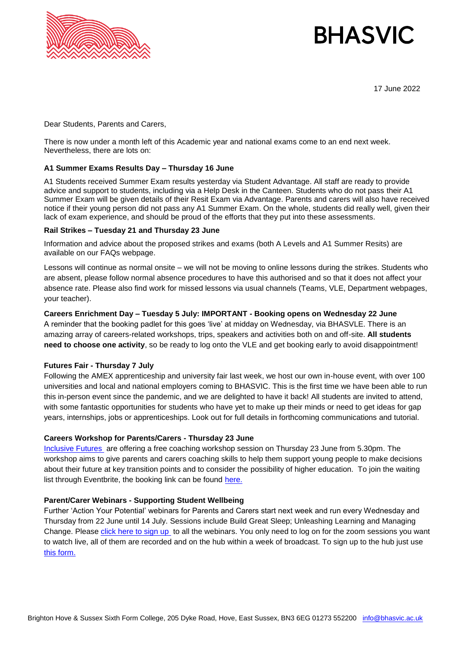

# **BHASVIC**

17 June 2022

Dear Students, Parents and Carers,

There is now under a month left of this Academic year and national exams come to an end next week. Nevertheless, there are lots on:

## **A1 Summer Exams Results Day – Thursday 16 June**

A1 Students received Summer Exam results yesterday via Student Advantage. All staff are ready to provide advice and support to students, including via a Help Desk in the Canteen. Students who do not pass their A1 Summer Exam will be given details of their Resit Exam via Advantage. Parents and carers will also have received notice if their young person did not pass any A1 Summer Exam. On the whole, students did really well, given their lack of exam experience, and should be proud of the efforts that they put into these assessments.

#### **Rail Strikes – Tuesday 21 and Thursday 23 June**

Information and advice about the proposed strikes and exams (both A Levels and A1 Summer Resits) are available on our FAQs webpage.

Lessons will continue as normal onsite – we will not be moving to online lessons during the strikes. Students who are absent, please follow normal absence procedures to have this authorised and so that it does not affect your absence rate. Please also find work for missed lessons via usual channels (Teams, VLE, Department webpages, your teacher).

### **Careers Enrichment Day – Tuesday 5 July: IMPORTANT - Booking opens on Wednesday 22 June**  A reminder that the booking padlet for this goes 'live' at midday on Wednesday, via BHASVLE. There is an

amazing array of careers-related workshops, trips, speakers and activities both on and off-site. **All students need to choose one activity**, so be ready to log onto the VLE and get booking early to avoid disappointment!

#### **Futures Fair - Thursday 7 July**

Following the AMEX apprenticeship and university fair last week, we host our own in-house event, with over 100 universities and local and national employers coming to BHASVIC. This is the first time we have been able to run this in-person event since the pandemic, and we are delighted to have it back! All students are invited to attend, with some fantastic opportunities for students who have yet to make up their minds or need to get ideas for gap years, internships, jobs or apprenticeships. Look out for full details in forthcoming communications and tutorial.

#### **Careers Workshop for Parents/Carers - Thursday 23 June**

[Inclusive Futures](https://www.inclusivefutures.co.uk/) are offering a free coaching workshop session on Thursday 23 June from 5.30pm. The workshop aims to give parents and carers coaching skills to help them support young people to make decisions about their future at key transition points and to consider the possibility of higher education. To join the waiting list through Eventbrite, the booking link can be found [here.](https://www.eventbrite.co.uk/e/supporting-young-people-through-coaching-workshop-tickets-359447084907)

#### **Parent/Carer Webinars - Supporting Student Wellbeing**

Further 'Action Your Potential' webinars for Parents and Carers start next week and run every Wednesday and Thursday from 22 June until 14 July. Sessions include Build Great Sleep; Unleashing Learning and Managing Change. Please [click here to sign up](https://us02web.zoom.us/webinar/register/WN_lpbBMp2ZTxSf1R0WQd_MYA) to all the webinars. You only need to log on for the zoom sessions you want to watch live, all of them are recorded and on the hub within a week of broadcast. To sign up to the hub just use [this form.](https://docs.google.com/forms/d/e/1FAIpQLSeJyhvCsHzGe1uhuesS-XFi-HOndIdFA-fs-pSXgdHYGBZeXQ/viewform)